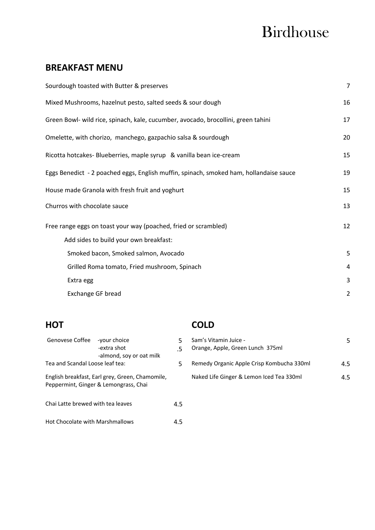# Birdhouse

## **BREAKFAST MENU**

| $\overline{7}$ |
|----------------|
| 16             |
| 17             |
| 20             |
| 15             |
| 19             |
| 15             |
| 13             |
| 12             |
|                |
| 5              |
| 4              |
| 3              |
| $\overline{2}$ |
|                |

| Genovese Coffee -your choice      | -extra shot<br>-almond, soy or oat milk                                                  | .5  |
|-----------------------------------|------------------------------------------------------------------------------------------|-----|
| Tea and Scandal Loose leaf tea:   |                                                                                          | 5.  |
|                                   | English breakfast, Earl grey, Green, Chamomile,<br>Peppermint, Ginger & Lemongrass, Chai |     |
| Chai Latte brewed with tea leaves |                                                                                          | 4.5 |
| Hot Chocolate with Marshmallows   |                                                                                          |     |

# **HOT COLD**

| Genovese Coffee                                             | -vour choice<br>-extra shot                     | Sam's Vitamin Juice -<br>Orange, Apple, Green Lunch 375ml | 5   |
|-------------------------------------------------------------|-------------------------------------------------|-----------------------------------------------------------|-----|
| -almond, soy or oat milk<br>Tea and Scandal Loose leaf tea: |                                                 | Remedy Organic Apple Crisp Kombucha 330ml                 | 4.5 |
|                                                             | English breakfast, Earl grey, Green, Chamomile, | Naked Life Ginger & Lemon Iced Tea 330ml                  | 4.5 |